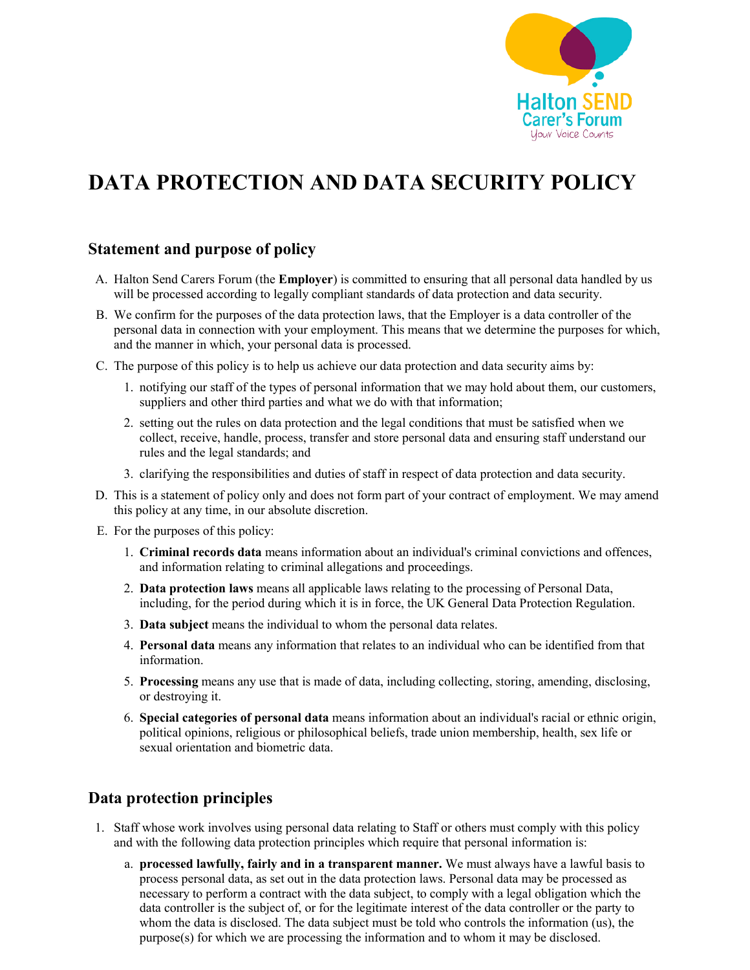

# **DATA PROTECTION AND DATA SECURITY POLICY**

## **Statement and purpose of policy**

- A. Halton Send Carers Forum (the **Employer**) is committed to ensuring that all personal data handled by us will be processed according to legally compliant standards of data protection and data security.
- B. We confirm for the purposes of the data protection laws, that the Employer is a data controller of the personal data in connection with your employment. This means that we determine the purposes for which, and the manner in which, your personal data is processed.
- C. The purpose of this policy is to help us achieve our data protection and data security aims by:
	- 1. notifying our staff of the types of personal information that we may hold about them, our customers, suppliers and other third parties and what we do with that information;
	- 2. setting out the rules on data protection and the legal conditions that must be satisfied when we collect, receive, handle, process, transfer and store personal data and ensuring staff understand our rules and the legal standards; and
	- 3. clarifying the responsibilities and duties of staff in respect of data protection and data security.
- D. This is a statement of policy only and does not form part of your contract of employment. We may amend this policy at any time, in our absolute discretion.
- E. For the purposes of this policy:
	- 1. **Criminal records data** means information about an individual's criminal convictions and offences, and information relating to criminal allegations and proceedings.
	- 2. **Data protection laws** means all applicable laws relating to the processing of Personal Data, including, for the period during which it is in force, the UK General Data Protection Regulation.
	- 3. **Data subject** means the individual to whom the personal data relates.
	- 4. **Personal data** means any information that relates to an individual who can be identified from that information.
	- 5. **Processing** means any use that is made of data, including collecting, storing, amending, disclosing, or destroying it.
	- 6. **Special categories of personal data** means information about an individual's racial or ethnic origin, political opinions, religious or philosophical beliefs, trade union membership, health, sex life or sexual orientation and biometric data.

## **Data protection principles**

- 1. Staff whose work involves using personal data relating to Staff or others must comply with this policy and with the following data protection principles which require that personal information is:
	- a. **processed lawfully, fairly and in a transparent manner.** We must always have a lawful basis to process personal data, as set out in the data protection laws. Personal data may be processed as necessary to perform a contract with the data subject, to comply with a legal obligation which the data controller is the subject of, or for the legitimate interest of the data controller or the party to whom the data is disclosed. The data subject must be told who controls the information (us), the purpose(s) for which we are processing the information and to whom it may be disclosed.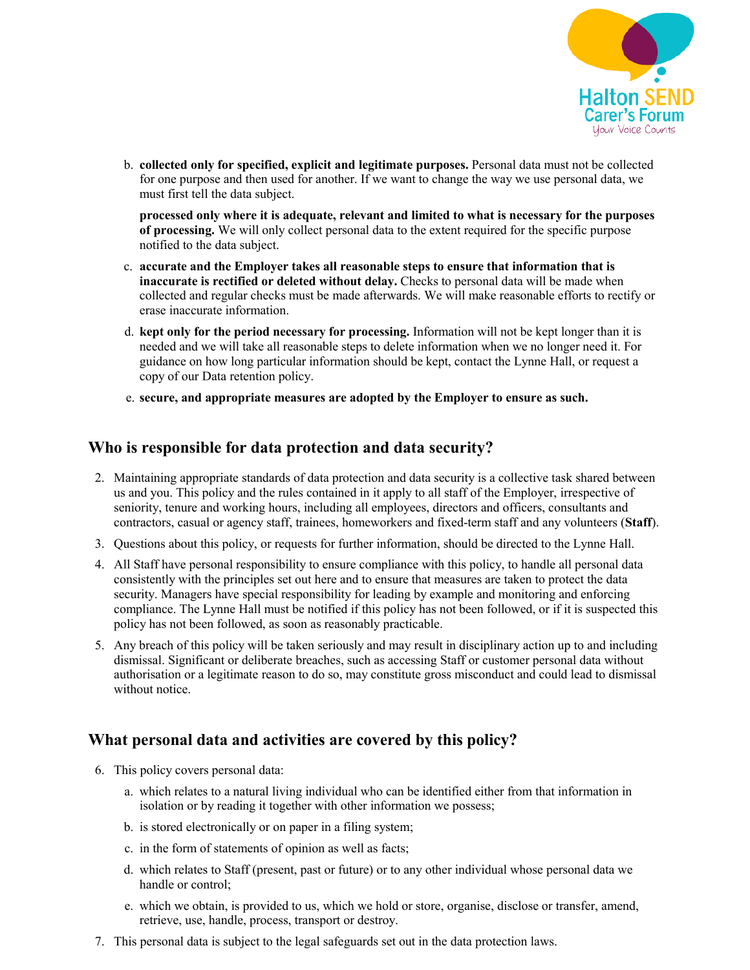

b. **collected only for specified, explicit and legitimate purposes.** Personal data must not be collected for one purpose and then used for another. If we want to change the way we use personal data, we must first tell the data subject.

**processed only where it is adequate, relevant and limited to what is necessary for the purposes of processing.** We will only collect personal data to the extent required for the specific purpose notified to the data subject.

- c. **accurate and the Employer takes all reasonable steps to ensure that information that is inaccurate is rectified or deleted without delay.** Checks to personal data will be made when collected and regular checks must be made afterwards. We will make reasonable efforts to rectify or erase inaccurate information.
- d. **kept only for the period necessary for processing.** Information will not be kept longer than it is needed and we will take all reasonable steps to delete information when we no longer need it. For guidance on how long particular information should be kept, contact the Lynne Hall, or request a copy of our Data retention policy.
- e. **secure, and appropriate measures are adopted by the Employer to ensure as such.**

## **Who is responsible for data protection and data security?**

- 2. Maintaining appropriate standards of data protection and data security is a collective task shared between us and you. This policy and the rules contained in it apply to all staff of the Employer, irrespective of seniority, tenure and working hours, including all employees, directors and officers, consultants and contractors, casual or agency staff, trainees, homeworkers and fixed-term staff and any volunteers (**Staff**).
- 3. Questions about this policy, or requests for further information, should be directed to the Lynne Hall.
- 4. All Staff have personal responsibility to ensure compliance with this policy, to handle all personal data consistently with the principles set out here and to ensure that measures are taken to protect the data security. Managers have special responsibility for leading by example and monitoring and enforcing compliance. The Lynne Hall must be notified if this policy has not been followed, or if it is suspected this policy has not been followed, as soon as reasonably practicable.
- 5. Any breach of this policy will be taken seriously and may result in disciplinary action up to and including dismissal. Significant or deliberate breaches, such as accessing Staff or customer personal data without authorisation or a legitimate reason to do so, may constitute gross misconduct and could lead to dismissal without notice.

## **What personal data and activities are covered by this policy?**

- 6. This policy covers personal data:
	- a. which relates to a natural living individual who can be identified either from that information in isolation or by reading it together with other information we possess;
	- b. is stored electronically or on paper in a filing system;
	- c. in the form of statements of opinion as well as facts;
	- d. which relates to Staff (present, past or future) or to any other individual whose personal data we handle or control;
	- e. which we obtain, is provided to us, which we hold or store, organise, disclose or transfer, amend, retrieve, use, handle, process, transport or destroy.
- 7. This personal data is subject to the legal safeguards set out in the data protection laws.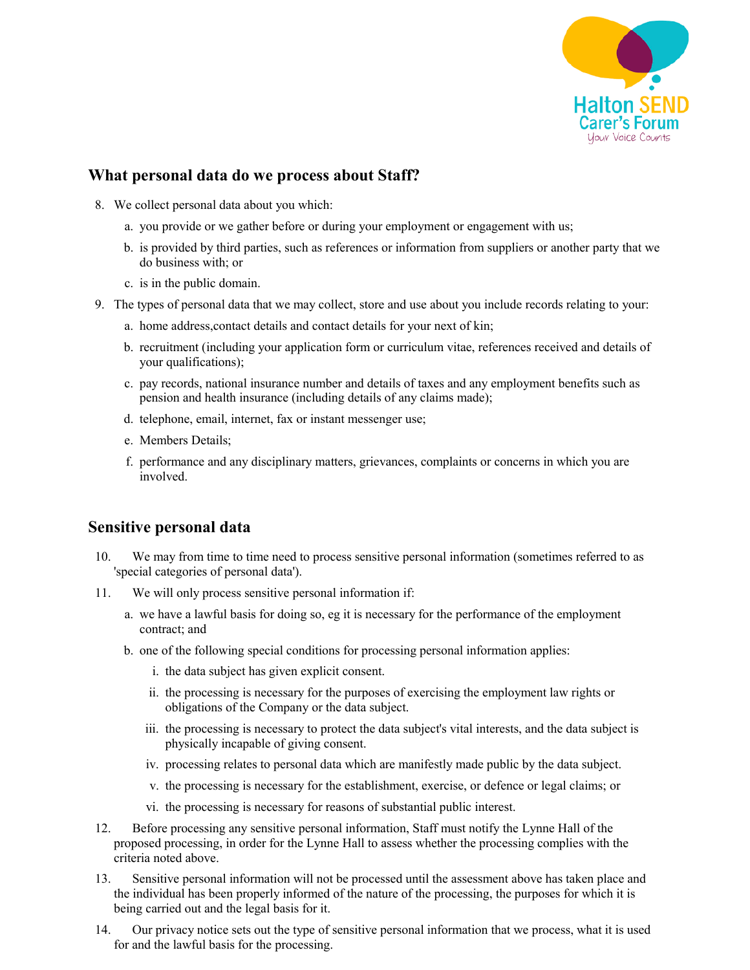

## **What personal data do we process about Staff?**

- 8. We collect personal data about you which:
	- a. you provide or we gather before or during your employment or engagement with us;
	- b. is provided by third parties, such as references or information from suppliers or another party that we do business with; or
	- c. is in the public domain.
- 9. The types of personal data that we may collect, store and use about you include records relating to your:
	- a. home address,contact details and contact details for your next of kin;
	- b. recruitment (including your application form or curriculum vitae, references received and details of your qualifications);
	- c. pay records, national insurance number and details of taxes and any employment benefits such as pension and health insurance (including details of any claims made);
	- d. telephone, email, internet, fax or instant messenger use;
	- e. Members Details;
	- f. performance and any disciplinary matters, grievances, complaints or concerns in which you are involved.

#### **Sensitive personal data**

- 10. We may from time to time need to process sensitive personal information (sometimes referred to as 'special categories of personal data').
- 11. We will only process sensitive personal information if:
	- a. we have a lawful basis for doing so, eg it is necessary for the performance of the employment contract; and
	- b. one of the following special conditions for processing personal information applies:
		- i. the data subject has given explicit consent.
		- ii. the processing is necessary for the purposes of exercising the employment law rights or obligations of the Company or the data subject.
		- iii. the processing is necessary to protect the data subject's vital interests, and the data subject is physically incapable of giving consent.
		- iv. processing relates to personal data which are manifestly made public by the data subject.
		- v. the processing is necessary for the establishment, exercise, or defence or legal claims; or
		- vi. the processing is necessary for reasons of substantial public interest.
- 12. Before processing any sensitive personal information, Staff must notify the Lynne Hall of the proposed processing, in order for the Lynne Hall to assess whether the processing complies with the criteria noted above.
- 13. Sensitive personal information will not be processed until the assessment above has taken place and the individual has been properly informed of the nature of the processing, the purposes for which it is being carried out and the legal basis for it.
- 14. Our privacy notice sets out the type of sensitive personal information that we process, what it is used for and the lawful basis for the processing.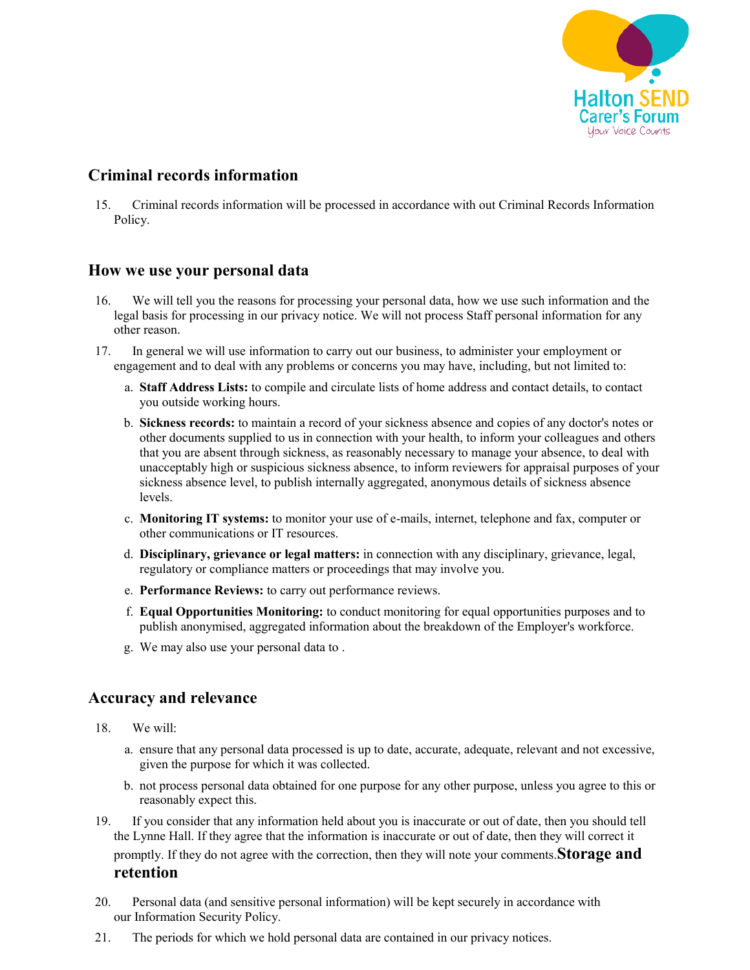

# **Criminal records information**

15. Criminal records information will be processed in accordance with out Criminal Records Information Policy.

#### **How we use your personal data**

- 16. We will tell you the reasons for processing your personal data, how we use such information and the legal basis for processing in our privacy notice. We will not process Staff personal information for any other reason.
- 17. In general we will use information to carry out our business, to administer your employment or engagement and to deal with any problems or concerns you may have, including, but not limited to:
	- a. **Staff Address Lists:** to compile and circulate lists of home address and contact details, to contact you outside working hours.
	- b. **Sickness records:** to maintain a record of your sickness absence and copies of any doctor's notes or other documents supplied to us in connection with your health, to inform your colleagues and others that you are absent through sickness, as reasonably necessary to manage your absence, to deal with unacceptably high or suspicious sickness absence, to inform reviewers for appraisal purposes of your sickness absence level, to publish internally aggregated, anonymous details of sickness absence levels.
	- c. **Monitoring IT systems:** to monitor your use of e-mails, internet, telephone and fax, computer or other communications or IT resources.
	- d. **Disciplinary, grievance or legal matters:** in connection with any disciplinary, grievance, legal, regulatory or compliance matters or proceedings that may involve you.
	- e. **Performance Reviews:** to carry out performance reviews.
	- f. **Equal Opportunities Monitoring:** to conduct monitoring for equal opportunities purposes and to publish anonymised, aggregated information about the breakdown of the Employer's workforce.
	- g. We may also use your personal data to .

## **Accuracy and relevance**

- 18. We will:
	- a. ensure that any personal data processed is up to date, accurate, adequate, relevant and not excessive, given the purpose for which it was collected.
	- b. not process personal data obtained for one purpose for any other purpose, unless you agree to this or reasonably expect this.
- 19. If you consider that any information held about you is inaccurate or out of date, then you should tell the Lynne Hall. If they agree that the information is inaccurate or out of date, then they will correct it promptly. If they do not agree with the correction, then they will note your comments.**Storage and retention**
- 20. Personal data (and sensitive personal information) will be kept securely in accordance with our Information Security Policy.
- 21. The periods for which we hold personal data are contained in our privacy notices.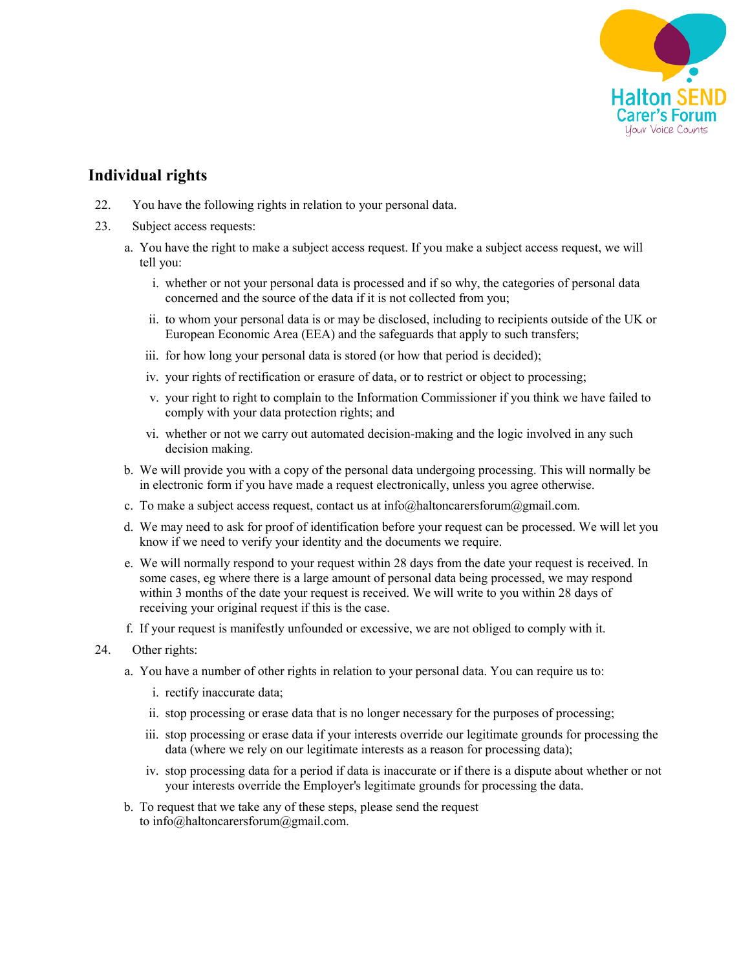

# **Individual rights**

- 22. You have the following rights in relation to your personal data.
- 23. Subject access requests:
	- a. You have the right to make a subject access request. If you make a subject access request, we will tell you:
		- i. whether or not your personal data is processed and if so why, the categories of personal data concerned and the source of the data if it is not collected from you;
		- ii. to whom your personal data is or may be disclosed, including to recipients outside of the UK or European Economic Area (EEA) and the safeguards that apply to such transfers;
		- iii. for how long your personal data is stored (or how that period is decided);
		- iv. your rights of rectification or erasure of data, or to restrict or object to processing;
		- v. your right to right to complain to the Information Commissioner if you think we have failed to comply with your data protection rights; and
		- vi. whether or not we carry out automated decision-making and the logic involved in any such decision making.
	- b. We will provide you with a copy of the personal data undergoing processing. This will normally be in electronic form if you have made a request electronically, unless you agree otherwise.
	- c. To make a subject access request, contact us at info@haltoncarersforum@gmail.com.
	- d. We may need to ask for proof of identification before your request can be processed. We will let you know if we need to verify your identity and the documents we require.
	- e. We will normally respond to your request within 28 days from the date your request is received. In some cases, eg where there is a large amount of personal data being processed, we may respond within 3 months of the date your request is received. We will write to you within 28 days of receiving your original request if this is the case.
	- f. If your request is manifestly unfounded or excessive, we are not obliged to comply with it.
- 24. Other rights:
	- a. You have a number of other rights in relation to your personal data. You can require us to:
		- i. rectify inaccurate data;
		- ii. stop processing or erase data that is no longer necessary for the purposes of processing;
		- iii. stop processing or erase data if your interests override our legitimate grounds for processing the data (where we rely on our legitimate interests as a reason for processing data);
		- iv. stop processing data for a period if data is inaccurate or if there is a dispute about whether or not your interests override the Employer's legitimate grounds for processing the data.
	- b. To request that we take any of these steps, please send the request to info@haltoncarersforum@gmail.com.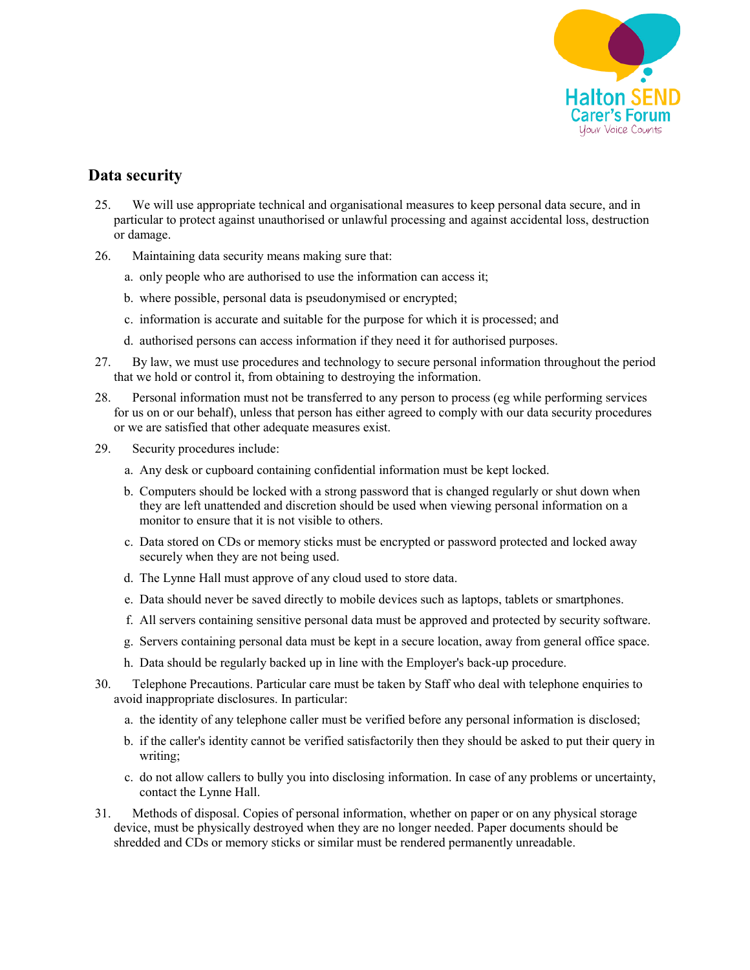

# **Data security**

- 25. We will use appropriate technical and organisational measures to keep personal data secure, and in particular to protect against unauthorised or unlawful processing and against accidental loss, destruction or damage.
- 26. Maintaining data security means making sure that:
	- a. only people who are authorised to use the information can access it;
	- b. where possible, personal data is pseudonymised or encrypted;
	- c. information is accurate and suitable for the purpose for which it is processed; and
	- d. authorised persons can access information if they need it for authorised purposes.
- 27. By law, we must use procedures and technology to secure personal information throughout the period that we hold or control it, from obtaining to destroying the information.
- 28. Personal information must not be transferred to any person to process (eg while performing services for us on or our behalf), unless that person has either agreed to comply with our data security procedures or we are satisfied that other adequate measures exist.
- 29. Security procedures include:
	- a. Any desk or cupboard containing confidential information must be kept locked.
	- b. Computers should be locked with a strong password that is changed regularly or shut down when they are left unattended and discretion should be used when viewing personal information on a monitor to ensure that it is not visible to others.
	- c. Data stored on CDs or memory sticks must be encrypted or password protected and locked away securely when they are not being used.
	- d. The Lynne Hall must approve of any cloud used to store data.
	- e. Data should never be saved directly to mobile devices such as laptops, tablets or smartphones.
	- f. All servers containing sensitive personal data must be approved and protected by security software.
	- g. Servers containing personal data must be kept in a secure location, away from general office space.
	- h. Data should be regularly backed up in line with the Employer's back-up procedure.
- 30. Telephone Precautions. Particular care must be taken by Staff who deal with telephone enquiries to avoid inappropriate disclosures. In particular:
	- a. the identity of any telephone caller must be verified before any personal information is disclosed;
	- b. if the caller's identity cannot be verified satisfactorily then they should be asked to put their query in writing;
	- c. do not allow callers to bully you into disclosing information. In case of any problems or uncertainty, contact the Lynne Hall.
- 31. Methods of disposal. Copies of personal information, whether on paper or on any physical storage device, must be physically destroyed when they are no longer needed. Paper documents should be shredded and CDs or memory sticks or similar must be rendered permanently unreadable.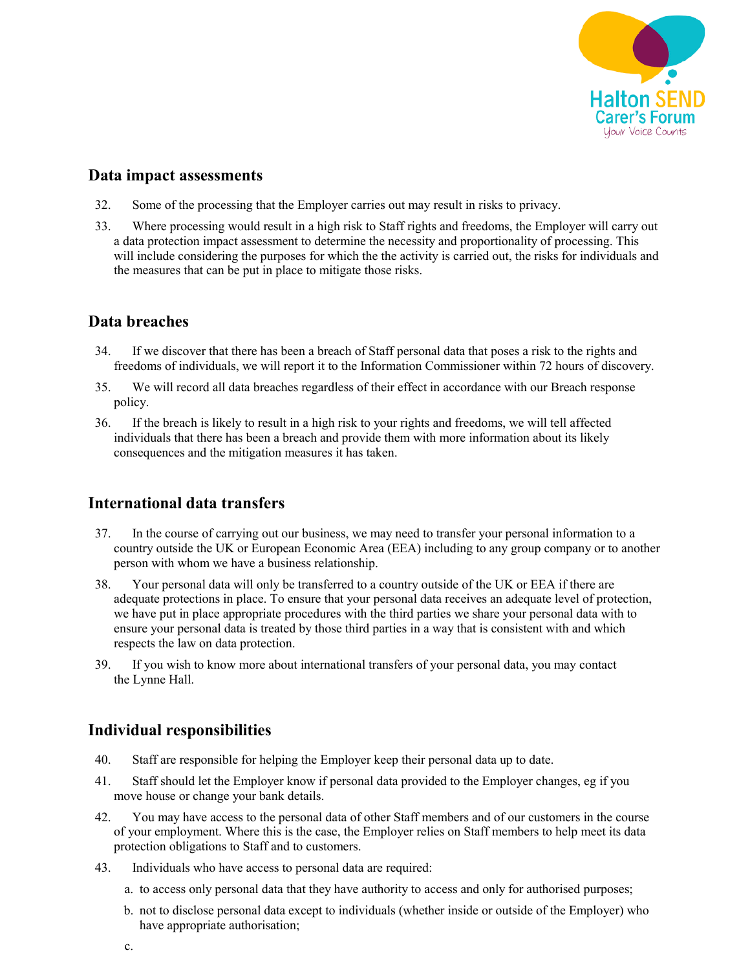

#### **Data impact assessments**

- 32. Some of the processing that the Employer carries out may result in risks to privacy.
- 33. Where processing would result in a high risk to Staff rights and freedoms, the Employer will carry out a data protection impact assessment to determine the necessity and proportionality of processing. This will include considering the purposes for which the the activity is carried out, the risks for individuals and the measures that can be put in place to mitigate those risks.

## **Data breaches**

- 34. If we discover that there has been a breach of Staff personal data that poses a risk to the rights and freedoms of individuals, we will report it to the Information Commissioner within 72 hours of discovery.
- 35. We will record all data breaches regardless of their effect in accordance with our Breach response policy.
- 36. If the breach is likely to result in a high risk to your rights and freedoms, we will tell affected individuals that there has been a breach and provide them with more information about its likely consequences and the mitigation measures it has taken.

## **International data transfers**

- 37. In the course of carrying out our business, we may need to transfer your personal information to a country outside the UK or European Economic Area (EEA) including to any group company or to another person with whom we have a business relationship.
- 38. Your personal data will only be transferred to a country outside of the UK or EEA if there are adequate protections in place. To ensure that your personal data receives an adequate level of protection, we have put in place appropriate procedures with the third parties we share your personal data with to ensure your personal data is treated by those third parties in a way that is consistent with and which respects the law on data protection.
- 39. If you wish to know more about international transfers of your personal data, you may contact the Lynne Hall.

# **Individual responsibilities**

- 40. Staff are responsible for helping the Employer keep their personal data up to date.
- 41. Staff should let the Employer know if personal data provided to the Employer changes, eg if you move house or change your bank details.
- 42. You may have access to the personal data of other Staff members and of our customers in the course of your employment. Where this is the case, the Employer relies on Staff members to help meet its data protection obligations to Staff and to customers.
- 43. Individuals who have access to personal data are required:
	- a. to access only personal data that they have authority to access and only for authorised purposes;
	- b. not to disclose personal data except to individuals (whether inside or outside of the Employer) who have appropriate authorisation:
	- c.